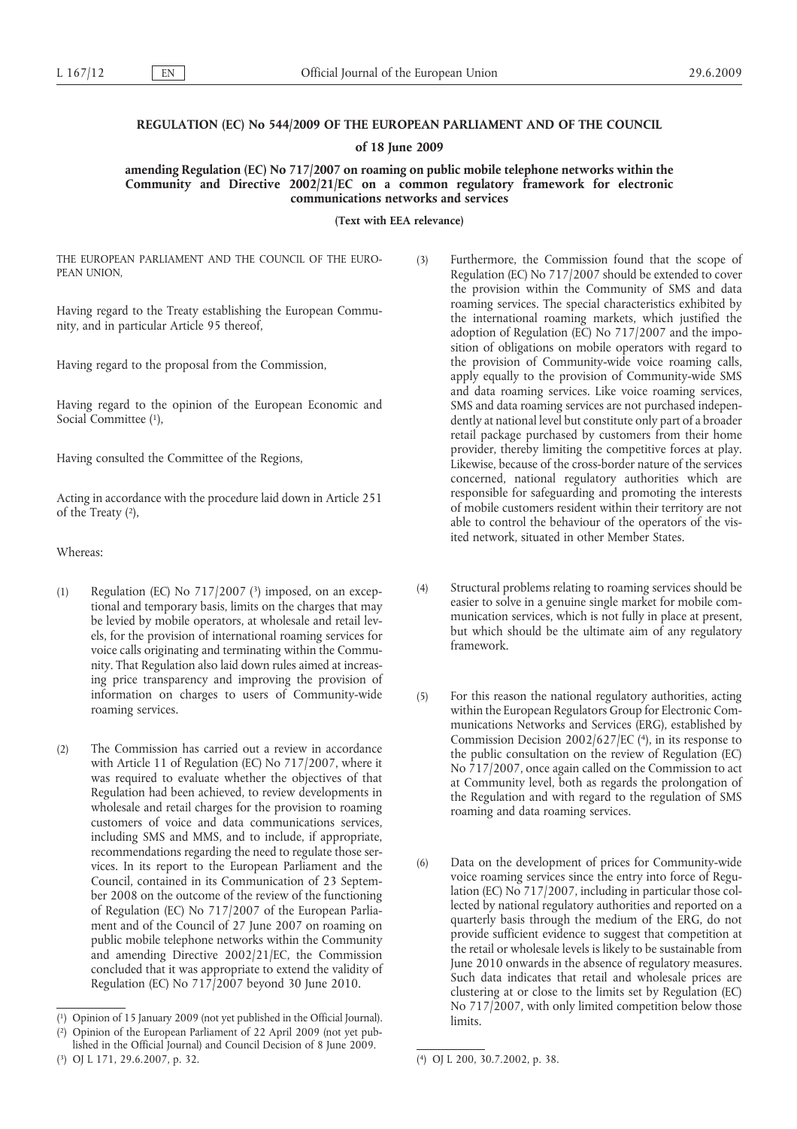# **REGULATION (EC) No 544/2009 OF THE EUROPEAN PARLIAMENT AND OF THE COUNCIL**

**of 18 June 2009**

**amending Regulation (EC) No 717/2007 on roaming on public mobile telephone networks within the Community and Directive 2002/21/EC on a common regulatory framework for electronic communications networks and services**

**(Text with EEA relevance)**

THE EUROPEAN PARLIAMENT AND THE COUNCIL OF THE EURO-PEAN UNION,

Having regard to the Treaty establishing the European Community, and in particular Article 95 thereof,

Having regard to the proposal from the Commission,

Social Committee (1), Having regard to the opinion of the European Economic and

Having consulted the Committee of the Regions,

of the Treaty (2), Acting in accordance with the procedure laid down in Article 251

Whereas:

- (1) Regulation (EC) No 717/2007 (3) imposed, on an exceptional and temporary basis, limits on the charges that may be levied by mobile operators, at wholesale and retail levels, for the provision of international roaming services for voice calls originating and terminating within the Community. That Regulation also laid down rules aimed at increasing price transparency and improving the provision of information on charges to users of Community-wide roaming services.
- (2) The Commission has carried out a review in accordance with Article 11 of Regulation (EC) No 717/2007, where it was required to evaluate whether the objectives of that Regulation had been achieved, to review developments in wholesale and retail charges for the provision to roaming customers of voice and data communications services, including SMS and MMS, and to include, if appropriate, recommendations regarding the need to regulate those services. In its report to the European Parliament and the Council, contained in its Communication of 23 September 2008 on the outcome of the review of the functioning of Regulation (EC) No 717/2007 of the European Parliament and of the Council of 27 June 2007 on roaming on public mobile telephone networks within the Community and amending Directive 2002/21/EC, the Commission concluded that it was appropriate to extend the validity of Regulation (EC) No 717/2007 beyond 30 June 2010.

( 3) [OJ L 171, 29.6.2007, p. 32.](http://eur-lex.europa.eu/LexUriServ/LexUriServ.do?uri=OJ:L:2007:171:0032:0032:EN:PDF)

- (3) Furthermore, the Commission found that the scope of Regulation (EC) No 717/2007 should be extended to cover the provision within the Community of SMS and data roaming services. The special characteristics exhibited by the international roaming markets, which justified the adoption of Regulation (EC) No 717/2007 and the imposition of obligations on mobile operators with regard to the provision of Community-wide voice roaming calls, apply equally to the provision of Community-wide SMS and data roaming services. Like voice roaming services, SMS and data roaming services are not purchased independently at national level but constitute only part of a broader retail package purchased by customers from their home provider, thereby limiting the competitive forces at play. Likewise, because of the cross-border nature of the services concerned, national regulatory authorities which are responsible for safeguarding and promoting the interests of mobile customers resident within their territory are not able to control the behaviour of the operators of the visited network, situated in other Member States.
- (4) Structural problems relating to roaming services should be easier to solve in a genuine single market for mobile communication services, which is not fully in place at present, but which should be the ultimate aim of any regulatory framework.
- Commission Decision 2002/627/EC (4), in its response to (5) For this reason the national regulatory authorities, acting within the European Regulators Group for Electronic Communications Networks and Services (ERG), established by the public consultation on the review of Regulation (EC) No 717/2007, once again called on the Commission to act at Community level, both as regards the prolongation of the Regulation and with regard to the regulation of SMS roaming and data roaming services.
- (6) Data on the development of prices for Community-wide voice roaming services since the entry into force of Regulation (EC) No 717/2007, including in particular those collected by national regulatory authorities and reported on a quarterly basis through the medium of the ERG, do not provide sufficient evidence to suggest that competition at the retail or wholesale levels is likely to be sustainable from June 2010 onwards in the absence of regulatory measures. Such data indicates that retail and wholesale prices are clustering at or close to the limits set by Regulation (EC) No 717/2007, with only limited competition below those limits.

<sup>(</sup> 1) Opinion of 15 January 2009 (not yet published in the Official Journal).

<sup>(</sup> 2) Opinion of the European Parliament of 22 April 2009 (not yet published in the Official Journal) and Council Decision of 8 June 2009.

<sup>(</sup> 4) [OJ L 200, 30.7.2002, p. 38.](http://eur-lex.europa.eu/LexUriServ/LexUriServ.do?uri=OJ:L:2002:200:0038:0038:EN:PDF)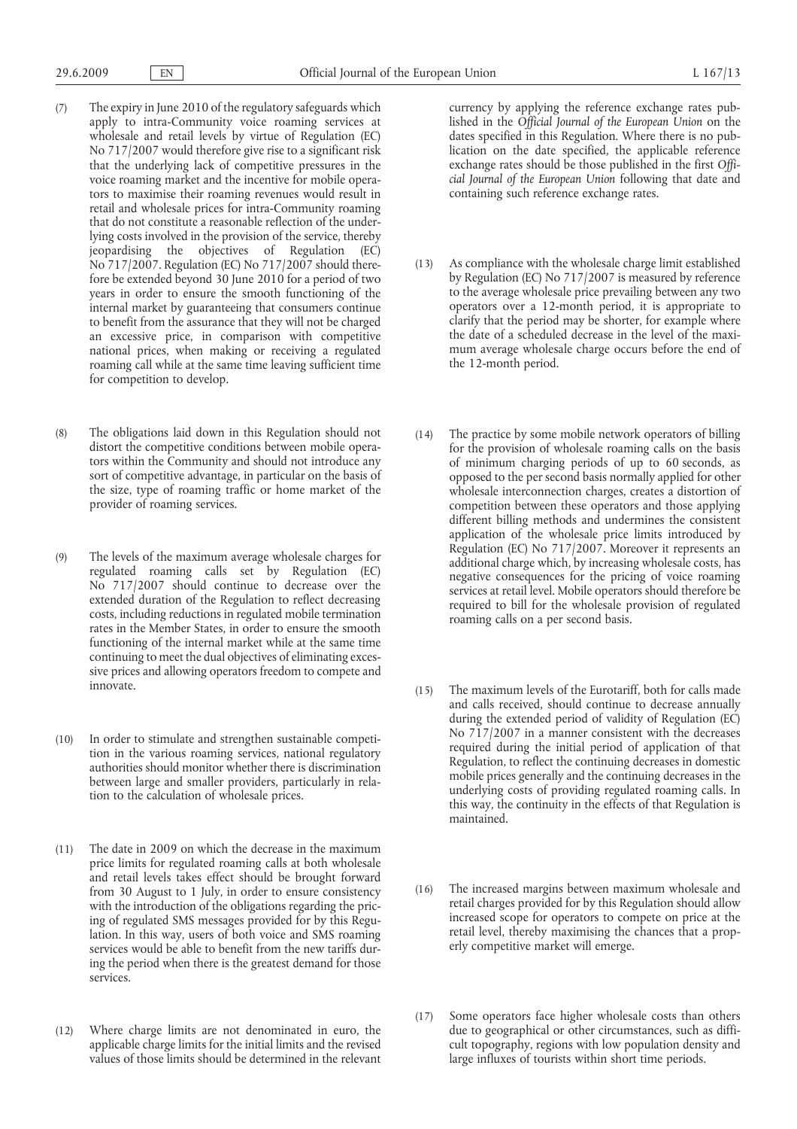- (7) The expiry in June 2010 of the regulatory safeguards which apply to intra-Community voice roaming services at wholesale and retail levels by virtue of Regulation (EC) No 717/2007 would therefore give rise to a significant risk that the underlying lack of competitive pressures in the voice roaming market and the incentive for mobile operators to maximise their roaming revenues would result in retail and wholesale prices for intra-Community roaming that do not constitute a reasonable reflection of the underlying costs involved in the provision of the service, thereby jeopardising the objectives of Regulation (EC) No 717/2007. Regulation (EC) No 717/2007 should therefore be extended beyond 30 June 2010 for a period of two years in order to ensure the smooth functioning of the internal market by guaranteeing that consumers continue to benefit from the assurance that they will not be charged an excessive price, in comparison with competitive national prices, when making or receiving a regulated roaming call while at the same time leaving sufficient time for competition to develop.
- (8) The obligations laid down in this Regulation should not distort the competitive conditions between mobile operators within the Community and should not introduce any sort of competitive advantage, in particular on the basis of the size, type of roaming traffic or home market of the provider of roaming services.
- (9) The levels of the maximum average wholesale charges for regulated roaming calls set by Regulation (EC) No 717/2007 should continue to decrease over the extended duration of the Regulation to reflect decreasing costs, including reductions in regulated mobile termination rates in the Member States, in order to ensure the smooth functioning of the internal market while at the same time continuing to meet the dual objectives of eliminating excessive prices and allowing operators freedom to compete and innovate.
- (10) In order to stimulate and strengthen sustainable competition in the various roaming services, national regulatory authorities should monitor whether there is discrimination between large and smaller providers, particularly in relation to the calculation of wholesale prices.
- (11) The date in 2009 on which the decrease in the maximum price limits for regulated roaming calls at both wholesale and retail levels takes effect should be brought forward from 30 August to 1 July, in order to ensure consistency with the introduction of the obligations regarding the pricing of regulated SMS messages provided for by this Regulation. In this way, users of both voice and SMS roaming services would be able to benefit from the new tariffs during the period when there is the greatest demand for those services.
- (12) Where charge limits are not denominated in euro, the applicable charge limits for the initial limits and the revised values of those limits should be determined in the relevant

currency by applying the reference exchange rates published in the *Official Journal of the European Union* on the dates specified in this Regulation. Where there is no publication on the date specified, the applicable reference exchange rates should be those published in the first *Official Journal of the European Union* following that date and containing such reference exchange rates.

- (13) As compliance with the wholesale charge limit established by Regulation (EC) No 717/2007 is measured by reference to the average wholesale price prevailing between any two operators over a 12-month period, it is appropriate to clarify that the period may be shorter, for example where the date of a scheduled decrease in the level of the maximum average wholesale charge occurs before the end of the 12-month period.
- (14) The practice by some mobile network operators of billing for the provision of wholesale roaming calls on the basis of minimum charging periods of up to 60 seconds, as opposed to the per second basis normally applied for other wholesale interconnection charges, creates a distortion of competition between these operators and those applying different billing methods and undermines the consistent application of the wholesale price limits introduced by Regulation (EC) No 717/2007. Moreover it represents an additional charge which, by increasing wholesale costs, has negative consequences for the pricing of voice roaming services at retail level. Mobile operators should therefore be required to bill for the wholesale provision of regulated roaming calls on a per second basis.
- (15) The maximum levels of the Eurotariff, both for calls made and calls received, should continue to decrease annually during the extended period of validity of Regulation (EC) No 717/2007 in a manner consistent with the decreases required during the initial period of application of that Regulation, to reflect the continuing decreases in domestic mobile prices generally and the continuing decreases in the underlying costs of providing regulated roaming calls. In this way, the continuity in the effects of that Regulation is maintained.
- (16) The increased margins between maximum wholesale and retail charges provided for by this Regulation should allow increased scope for operators to compete on price at the retail level, thereby maximising the chances that a properly competitive market will emerge.
- (17) Some operators face higher wholesale costs than others due to geographical or other circumstances, such as difficult topography, regions with low population density and large influxes of tourists within short time periods.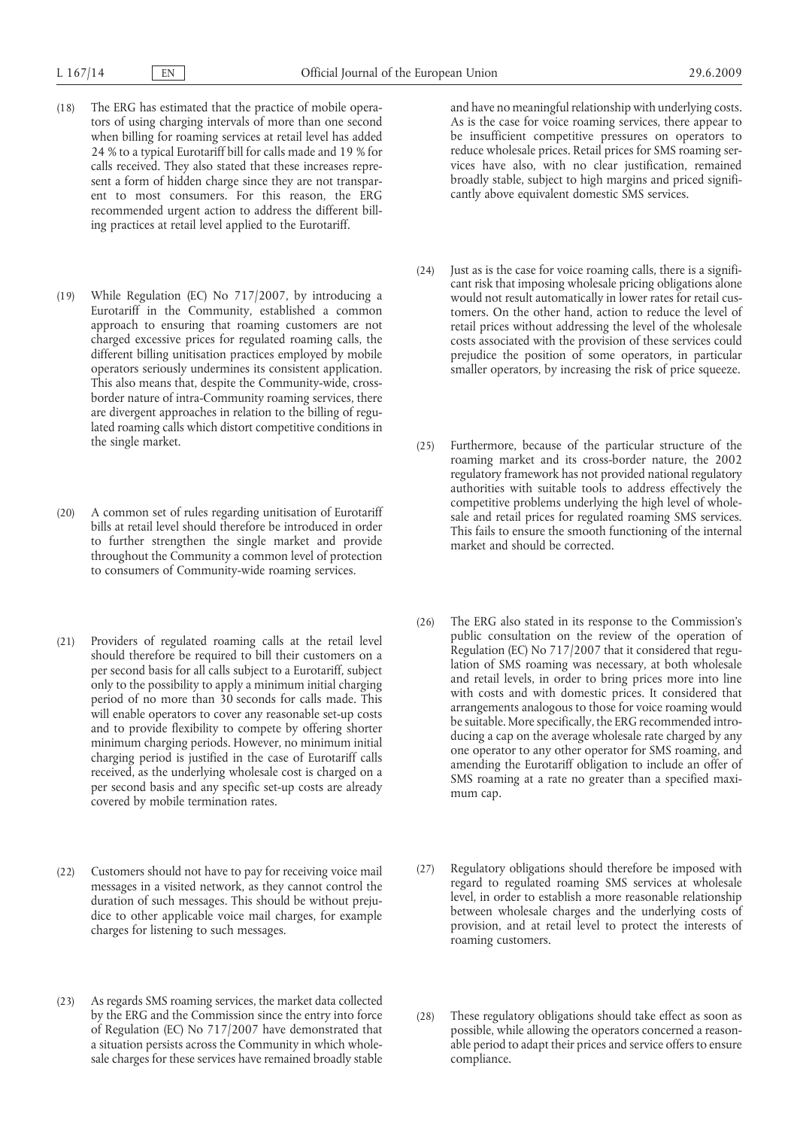- (18) The ERG has estimated that the practice of mobile operators of using charging intervals of more than one second when billing for roaming services at retail level has added 24 % to a typical Eurotariff bill for calls made and 19 % for calls received. They also stated that these increases represent a form of hidden charge since they are not transparent to most consumers. For this reason, the ERG recommended urgent action to address the different billing practices at retail level applied to the Eurotariff.
- (19) While Regulation (EC) No 717/2007, by introducing a Eurotariff in the Community, established a common approach to ensuring that roaming customers are not charged excessive prices for regulated roaming calls, the different billing unitisation practices employed by mobile operators seriously undermines its consistent application. This also means that, despite the Community-wide, crossborder nature of intra-Community roaming services, there are divergent approaches in relation to the billing of regulated roaming calls which distort competitive conditions in the single market.
- (20) A common set of rules regarding unitisation of Eurotariff bills at retail level should therefore be introduced in order to further strengthen the single market and provide throughout the Community a common level of protection to consumers of Community-wide roaming services.
- (21) Providers of regulated roaming calls at the retail level should therefore be required to bill their customers on a per second basis for all calls subject to a Eurotariff, subject only to the possibility to apply a minimum initial charging period of no more than 30 seconds for calls made. This will enable operators to cover any reasonable set-up costs and to provide flexibility to compete by offering shorter minimum charging periods. However, no minimum initial charging period is justified in the case of Eurotariff calls received, as the underlying wholesale cost is charged on a per second basis and any specific set-up costs are already covered by mobile termination rates.
- (22) Customers should not have to pay for receiving voice mail messages in a visited network, as they cannot control the duration of such messages. This should be without prejudice to other applicable voice mail charges, for example charges for listening to such messages.
- (23) As regards SMS roaming services, the market data collected by the ERG and the Commission since the entry into force of Regulation (EC) No 717/2007 have demonstrated that a situation persists across the Community in which wholesale charges for these services have remained broadly stable

and have no meaningful relationship with underlying costs. As is the case for voice roaming services, there appear to be insufficient competitive pressures on operators to reduce wholesale prices. Retail prices for SMS roaming services have also, with no clear justification, remained broadly stable, subject to high margins and priced significantly above equivalent domestic SMS services.

- (24) Just as is the case for voice roaming calls, there is a significant risk that imposing wholesale pricing obligations alone would not result automatically in lower rates for retail customers. On the other hand, action to reduce the level of retail prices without addressing the level of the wholesale costs associated with the provision of these services could prejudice the position of some operators, in particular smaller operators, by increasing the risk of price squeeze.
- (25) Furthermore, because of the particular structure of the roaming market and its cross-border nature, the 2002 regulatory framework has not provided national regulatory authorities with suitable tools to address effectively the competitive problems underlying the high level of wholesale and retail prices for regulated roaming SMS services. This fails to ensure the smooth functioning of the internal market and should be corrected.
- (26) The ERG also stated in its response to the Commission's public consultation on the review of the operation of Regulation (EC) No 717/2007 that it considered that regulation of SMS roaming was necessary, at both wholesale and retail levels, in order to bring prices more into line with costs and with domestic prices. It considered that arrangements analogous to those for voice roaming would be suitable. More specifically, the ERG recommended introducing a cap on the average wholesale rate charged by any one operator to any other operator for SMS roaming, and amending the Eurotariff obligation to include an offer of SMS roaming at a rate no greater than a specified maximum cap.
- (27) Regulatory obligations should therefore be imposed with regard to regulated roaming SMS services at wholesale level, in order to establish a more reasonable relationship between wholesale charges and the underlying costs of provision, and at retail level to protect the interests of roaming customers.
- (28) These regulatory obligations should take effect as soon as possible, while allowing the operators concerned a reasonable period to adapt their prices and service offers to ensure compliance.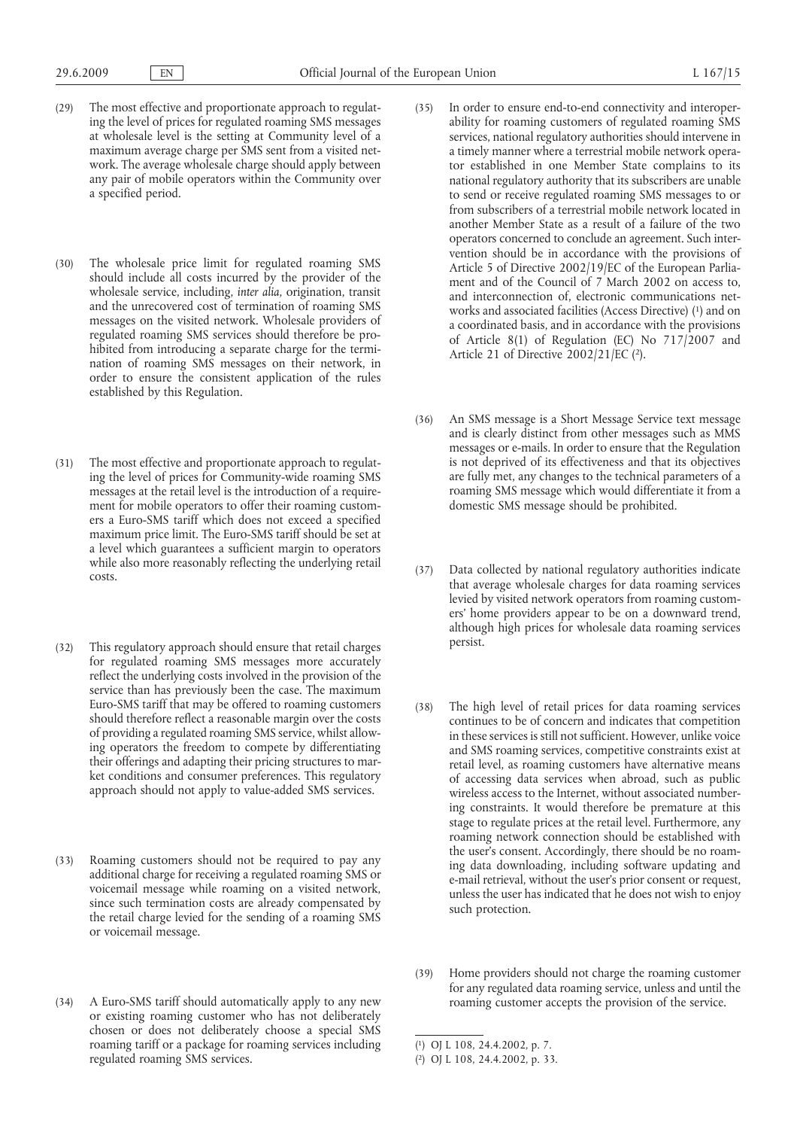- (29) The most effective and proportionate approach to regulating the level of prices for regulated roaming SMS messages at wholesale level is the setting at Community level of a maximum average charge per SMS sent from a visited network. The average wholesale charge should apply between any pair of mobile operators within the Community over a specified period.
- (30) The wholesale price limit for regulated roaming SMS should include all costs incurred by the provider of the wholesale service, including, *inter alia*, origination, transit and the unrecovered cost of termination of roaming SMS messages on the visited network. Wholesale providers of regulated roaming SMS services should therefore be prohibited from introducing a separate charge for the termination of roaming SMS messages on their network, in order to ensure the consistent application of the rules established by this Regulation.
- (31) The most effective and proportionate approach to regulating the level of prices for Community-wide roaming SMS messages at the retail level is the introduction of a requirement for mobile operators to offer their roaming customers a Euro-SMS tariff which does not exceed a specified maximum price limit. The Euro-SMS tariff should be set at a level which guarantees a sufficient margin to operators while also more reasonably reflecting the underlying retail costs.
- (32) This regulatory approach should ensure that retail charges for regulated roaming SMS messages more accurately reflect the underlying costs involved in the provision of the service than has previously been the case. The maximum Euro-SMS tariff that may be offered to roaming customers should therefore reflect a reasonable margin over the costs of providing a regulated roaming SMS service, whilst allowing operators the freedom to compete by differentiating their offerings and adapting their pricing structures to market conditions and consumer preferences. This regulatory approach should not apply to value-added SMS services.
- (33) Roaming customers should not be required to pay any additional charge for receiving a regulated roaming SMS or voicemail message while roaming on a visited network, since such termination costs are already compensated by the retail charge levied for the sending of a roaming SMS or voicemail message.
- (34) A Euro-SMS tariff should automatically apply to any new or existing roaming customer who has not deliberately chosen or does not deliberately choose a special SMS roaming tariff or a package for roaming services including regulated roaming SMS services.
- works and associated facilities (Access Directive) (1) and on Article 21 of Directive 2002/21/EC (2). (35) In order to ensure end-to-end connectivity and interoperability for roaming customers of regulated roaming SMS services, national regulatory authorities should intervene in a timely manner where a terrestrial mobile network operator established in one Member State complains to its national regulatory authority that its subscribers are unable to send or receive regulated roaming SMS messages to or from subscribers of a terrestrial mobile network located in another Member State as a result of a failure of the two operators concerned to conclude an agreement. Such intervention should be in accordance with the provisions of Article 5 of Directive 2002/19/EC of the European Parliament and of the Council of 7 March 2002 on access to, and interconnection of, electronic communications neta coordinated basis, and in accordance with the provisions of Article 8(1) of Regulation (EC) No  $717/2007$  and
- (36) An SMS message is a Short Message Service text message and is clearly distinct from other messages such as MMS messages or e-mails. In order to ensure that the Regulation is not deprived of its effectiveness and that its objectives are fully met, any changes to the technical parameters of a roaming SMS message which would differentiate it from a domestic SMS message should be prohibited.
- (37) Data collected by national regulatory authorities indicate that average wholesale charges for data roaming services levied by visited network operators from roaming customers' home providers appear to be on a downward trend, although high prices for wholesale data roaming services persist.
- (38) The high level of retail prices for data roaming services continues to be of concern and indicates that competition in these services is still not sufficient. However, unlike voice and SMS roaming services, competitive constraints exist at retail level, as roaming customers have alternative means of accessing data services when abroad, such as public wireless access to the Internet, without associated numbering constraints. It would therefore be premature at this stage to regulate prices at the retail level. Furthermore, any roaming network connection should be established with the user's consent. Accordingly, there should be no roaming data downloading, including software updating and e-mail retrieval, without the user's prior consent or request, unless the user has indicated that he does not wish to enjoy such protection.
- (39) Home providers should not charge the roaming customer for any regulated data roaming service, unless and until the roaming customer accepts the provision of the service.

<sup>(</sup> 1) [OJ L 108, 24.4.2002, p. 7.](http://eur-lex.europa.eu/LexUriServ/LexUriServ.do?uri=OJ:L:2002:108:0007:0007:EN:PDF)

<sup>(</sup> 2) [OJ L 108, 24.4.2002, p. 33.](http://eur-lex.europa.eu/LexUriServ/LexUriServ.do?uri=OJ:L:2002:108:0033:0033:EN:PDF)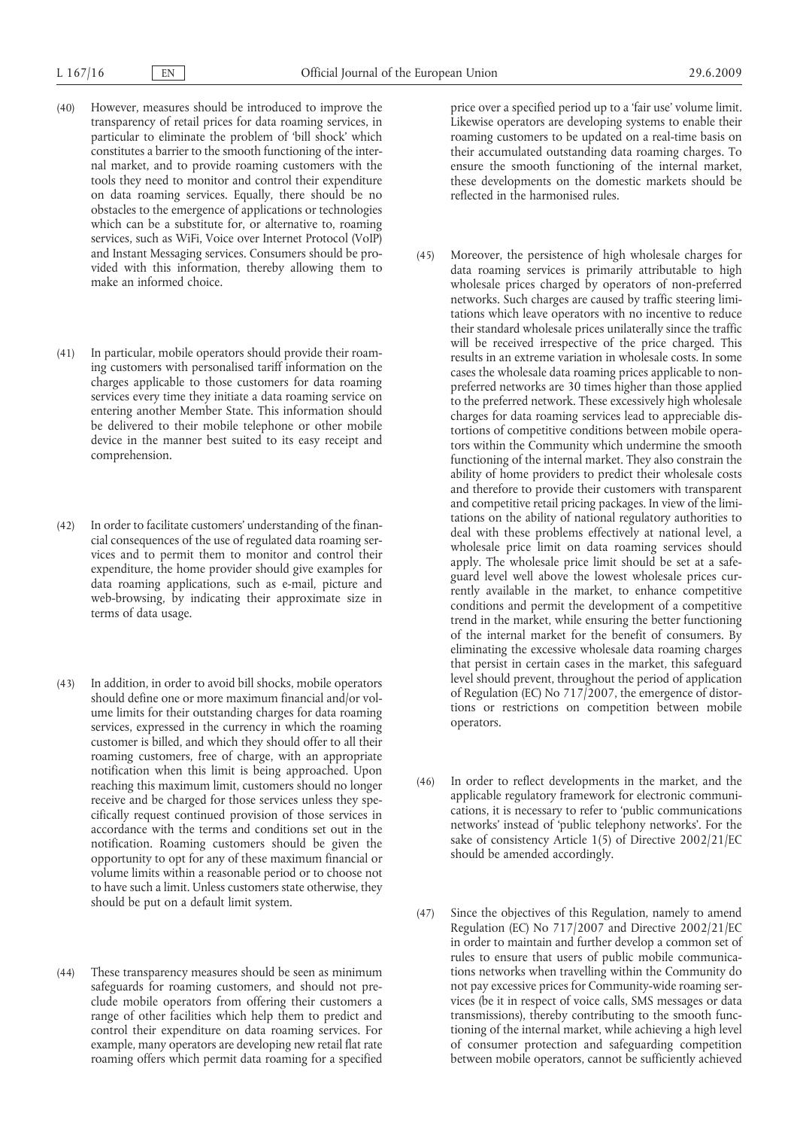- (40) However, measures should be introduced to improve the transparency of retail prices for data roaming services, in particular to eliminate the problem of 'bill shock' which constitutes a barrier to the smooth functioning of the internal market, and to provide roaming customers with the tools they need to monitor and control their expenditure on data roaming services. Equally, there should be no obstacles to the emergence of applications or technologies which can be a substitute for, or alternative to, roaming services, such as WiFi, Voice over Internet Protocol (VoIP) and Instant Messaging services. Consumers should be provided with this information, thereby allowing them to make an informed choice.
- (41) In particular, mobile operators should provide their roaming customers with personalised tariff information on the charges applicable to those customers for data roaming services every time they initiate a data roaming service on entering another Member State. This information should be delivered to their mobile telephone or other mobile device in the manner best suited to its easy receipt and comprehension.
- (42) In order to facilitate customers' understanding of the financial consequences of the use of regulated data roaming services and to permit them to monitor and control their expenditure, the home provider should give examples for data roaming applications, such as e-mail, picture and web-browsing, by indicating their approximate size in terms of data usage.
- (43) In addition, in order to avoid bill shocks, mobile operators should define one or more maximum financial and/or volume limits for their outstanding charges for data roaming services, expressed in the currency in which the roaming customer is billed, and which they should offer to all their roaming customers, free of charge, with an appropriate notification when this limit is being approached. Upon reaching this maximum limit, customers should no longer receive and be charged for those services unless they specifically request continued provision of those services in accordance with the terms and conditions set out in the notification. Roaming customers should be given the opportunity to opt for any of these maximum financial or volume limits within a reasonable period or to choose not to have such a limit. Unless customers state otherwise, they should be put on a default limit system.
- (44) These transparency measures should be seen as minimum safeguards for roaming customers, and should not preclude mobile operators from offering their customers a range of other facilities which help them to predict and control their expenditure on data roaming services. For example, many operators are developing new retail flat rate roaming offers which permit data roaming for a specified

price over a specified period up to a 'fair use' volume limit. Likewise operators are developing systems to enable their roaming customers to be updated on a real-time basis on their accumulated outstanding data roaming charges. To ensure the smooth functioning of the internal market, these developments on the domestic markets should be reflected in the harmonised rules.

- (45) Moreover, the persistence of high wholesale charges for data roaming services is primarily attributable to high wholesale prices charged by operators of non-preferred networks. Such charges are caused by traffic steering limitations which leave operators with no incentive to reduce their standard wholesale prices unilaterally since the traffic will be received irrespective of the price charged. This results in an extreme variation in wholesale costs. In some cases the wholesale data roaming prices applicable to nonpreferred networks are 30 times higher than those applied to the preferred network. These excessively high wholesale charges for data roaming services lead to appreciable distortions of competitive conditions between mobile operators within the Community which undermine the smooth functioning of the internal market. They also constrain the ability of home providers to predict their wholesale costs and therefore to provide their customers with transparent and competitive retail pricing packages. In view of the limitations on the ability of national regulatory authorities to deal with these problems effectively at national level, a wholesale price limit on data roaming services should apply. The wholesale price limit should be set at a safeguard level well above the lowest wholesale prices currently available in the market, to enhance competitive conditions and permit the development of a competitive trend in the market, while ensuring the better functioning of the internal market for the benefit of consumers. By eliminating the excessive wholesale data roaming charges that persist in certain cases in the market, this safeguard level should prevent, throughout the period of application of Regulation (EC) No 717/2007, the emergence of distortions or restrictions on competition between mobile operators.
- (46) In order to reflect developments in the market, and the applicable regulatory framework for electronic communications, it is necessary to refer to 'public communications networks' instead of 'public telephony networks'. For the sake of consistency Article 1(5) of Directive 2002/21/EC should be amended accordingly.
- (47) Since the objectives of this Regulation, namely to amend Regulation (EC) No 717/2007 and Directive 2002/21/EC in order to maintain and further develop a common set of rules to ensure that users of public mobile communications networks when travelling within the Community do not pay excessive prices for Community-wide roaming services (be it in respect of voice calls, SMS messages or data transmissions), thereby contributing to the smooth functioning of the internal market, while achieving a high level of consumer protection and safeguarding competition between mobile operators, cannot be sufficiently achieved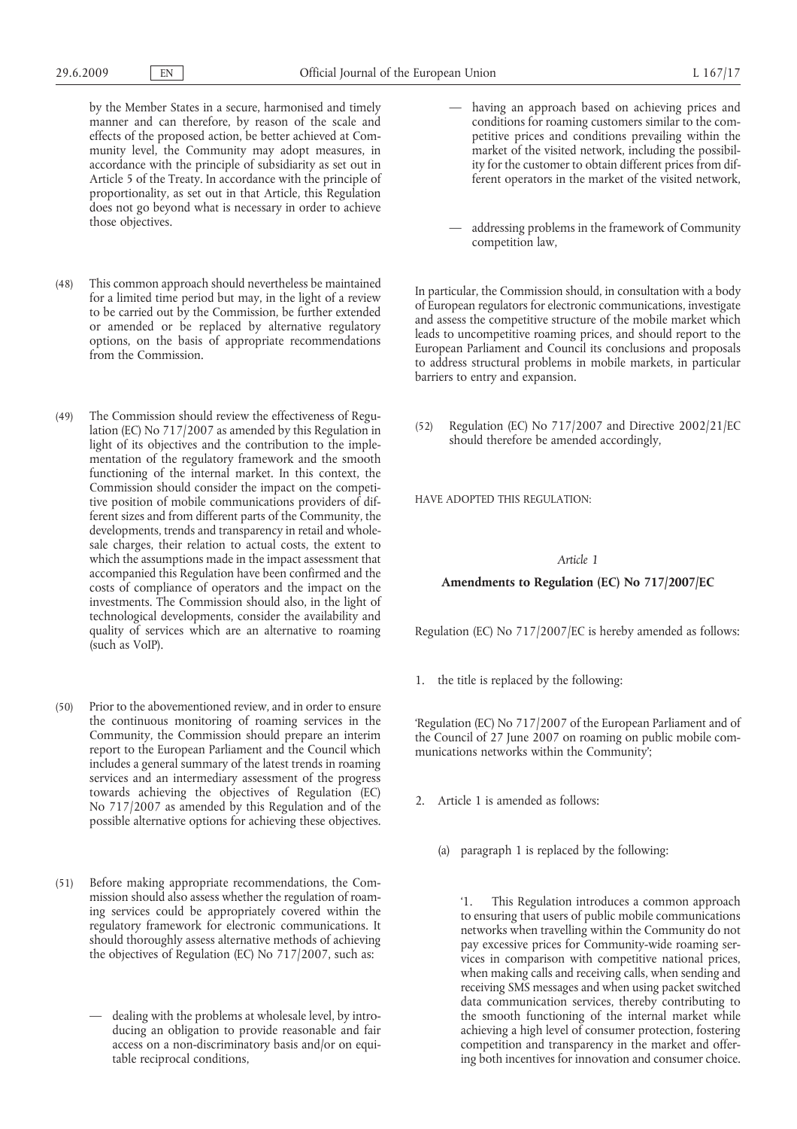by the Member States in a secure, harmonised and timely manner and can therefore, by reason of the scale and effects of the proposed action, be better achieved at Community level, the Community may adopt measures, in accordance with the principle of subsidiarity as set out in Article 5 of the Treaty. In accordance with the principle of proportionality, as set out in that Article, this Regulation does not go beyond what is necessary in order to achieve those objectives.

- (48) This common approach should nevertheless be maintained for a limited time period but may, in the light of a review to be carried out by the Commission, be further extended or amended or be replaced by alternative regulatory options, on the basis of appropriate recommendations from the Commission.
- (49) The Commission should review the effectiveness of Regulation (EC) No 717/2007 as amended by this Regulation in light of its objectives and the contribution to the implementation of the regulatory framework and the smooth functioning of the internal market. In this context, the Commission should consider the impact on the competitive position of mobile communications providers of different sizes and from different parts of the Community, the developments, trends and transparency in retail and wholesale charges, their relation to actual costs, the extent to which the assumptions made in the impact assessment that accompanied this Regulation have been confirmed and the costs of compliance of operators and the impact on the investments. The Commission should also, in the light of technological developments, consider the availability and quality of services which are an alternative to roaming (such as VoIP).
- (50) Prior to the abovementioned review, and in order to ensure the continuous monitoring of roaming services in the Community, the Commission should prepare an interim report to the European Parliament and the Council which includes a general summary of the latest trends in roaming services and an intermediary assessment of the progress towards achieving the objectives of Regulation (EC) No 717/2007 as amended by this Regulation and of the possible alternative options for achieving these objectives.
- (51) Before making appropriate recommendations, the Commission should also assess whether the regulation of roaming services could be appropriately covered within the regulatory framework for electronic communications. It should thoroughly assess alternative methods of achieving the objectives of Regulation (EC) No 717/2007, such as:
	- dealing with the problems at wholesale level, by introducing an obligation to provide reasonable and fair access on a non-discriminatory basis and/or on equitable reciprocal conditions,
- having an approach based on achieving prices and conditions for roaming customers similar to the competitive prices and conditions prevailing within the market of the visited network, including the possibility for the customer to obtain different prices from different operators in the market of the visited network,
- addressing problems in the framework of Community competition law,

In particular, the Commission should, in consultation with a body of European regulators for electronic communications, investigate and assess the competitive structure of the mobile market which leads to uncompetitive roaming prices, and should report to the European Parliament and Council its conclusions and proposals to address structural problems in mobile markets, in particular barriers to entry and expansion.

(52) Regulation (EC) No 717/2007 and Directive 2002/21/EC should therefore be amended accordingly,

HAVE ADOPTED THIS REGULATION:

#### *Article 1*

### **Amendments to Regulation (EC) No 717/2007/EC**

Regulation (EC) No 717/2007/EC is hereby amended as follows:

1. the title is replaced by the following:

'Regulation (EC) No 717/2007 of the European Parliament and of the Council of 27 June 2007 on roaming on public mobile communications networks within the Community';

- 2. Article 1 is amended as follows:
	- (a) paragraph 1 is replaced by the following:

This Regulation introduces a common approach to ensuring that users of public mobile communications networks when travelling within the Community do not pay excessive prices for Community-wide roaming services in comparison with competitive national prices, when making calls and receiving calls, when sending and receiving SMS messages and when using packet switched data communication services, thereby contributing to the smooth functioning of the internal market while achieving a high level of consumer protection, fostering competition and transparency in the market and offering both incentives for innovation and consumer choice.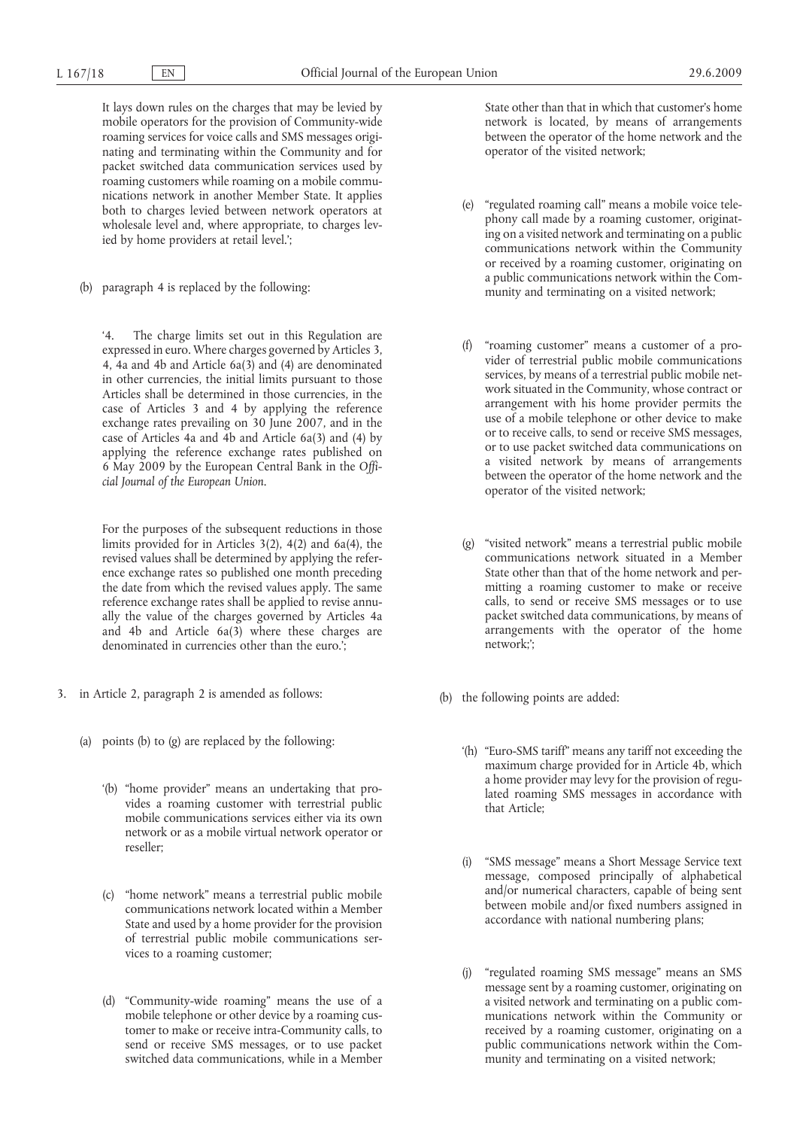It lays down rules on the charges that may be levied by mobile operators for the provision of Community-wide roaming services for voice calls and SMS messages originating and terminating within the Community and for packet switched data communication services used by roaming customers while roaming on a mobile communications network in another Member State. It applies both to charges levied between network operators at wholesale level and, where appropriate, to charges levied by home providers at retail level.';

(b) paragraph 4 is replaced by the following:

The charge limits set out in this Regulation are expressed in euro. Where charges governed by Articles 3, 4, 4a and 4b and Article 6a(3) and (4) are denominated in other currencies, the initial limits pursuant to those Articles shall be determined in those currencies, in the case of Articles 3 and 4 by applying the reference exchange rates prevailing on 30 June 2007, and in the case of Articles 4a and 4b and Article 6a(3) and (4) by applying the reference exchange rates published on 6 May 2009 by the European Central Bank in the *Official Journal of the European Union*.

For the purposes of the subsequent reductions in those limits provided for in Articles 3(2), 4(2) and 6a(4), the revised values shall be determined by applying the reference exchange rates so published one month preceding the date from which the revised values apply. The same reference exchange rates shall be applied to revise annually the value of the charges governed by Articles 4a and 4b and Article 6a(3) where these charges are denominated in currencies other than the euro.';

- 3. in Article 2, paragraph 2 is amended as follows:
	- (a) points (b) to (g) are replaced by the following:
		- '(b) "home provider" means an undertaking that provides a roaming customer with terrestrial public mobile communications services either via its own network or as a mobile virtual network operator or reseller;
		- (c) "home network" means a terrestrial public mobile communications network located within a Member State and used by a home provider for the provision of terrestrial public mobile communications services to a roaming customer;
		- (d) "Community-wide roaming" means the use of a mobile telephone or other device by a roaming customer to make or receive intra-Community calls, to send or receive SMS messages, or to use packet switched data communications, while in a Member

State other than that in which that customer's home network is located, by means of arrangements between the operator of the home network and the operator of the visited network;

- (e) "regulated roaming call" means a mobile voice telephony call made by a roaming customer, originating on a visited network and terminating on a public communications network within the Community or received by a roaming customer, originating on a public communications network within the Community and terminating on a visited network;
- "roaming customer" means a customer of a provider of terrestrial public mobile communications services, by means of a terrestrial public mobile network situated in the Community, whose contract or arrangement with his home provider permits the use of a mobile telephone or other device to make or to receive calls, to send or receive SMS messages, or to use packet switched data communications on a visited network by means of arrangements between the operator of the home network and the operator of the visited network;
- (g) "visited network" means a terrestrial public mobile communications network situated in a Member State other than that of the home network and permitting a roaming customer to make or receive calls, to send or receive SMS messages or to use packet switched data communications, by means of arrangements with the operator of the home network;';
- (b) the following points are added:
	- '(h) "Euro-SMS tariff" means any tariff not exceeding the maximum charge provided for in Article 4b, which a home provider may levy for the provision of regulated roaming SMS messages in accordance with that Article;
	- (i) "SMS message" means a Short Message Service text message, composed principally of alphabetical and/or numerical characters, capable of being sent between mobile and/or fixed numbers assigned in accordance with national numbering plans;
	- (j) "regulated roaming SMS message" means an SMS message sent by a roaming customer, originating on a visited network and terminating on a public communications network within the Community or received by a roaming customer, originating on a public communications network within the Community and terminating on a visited network;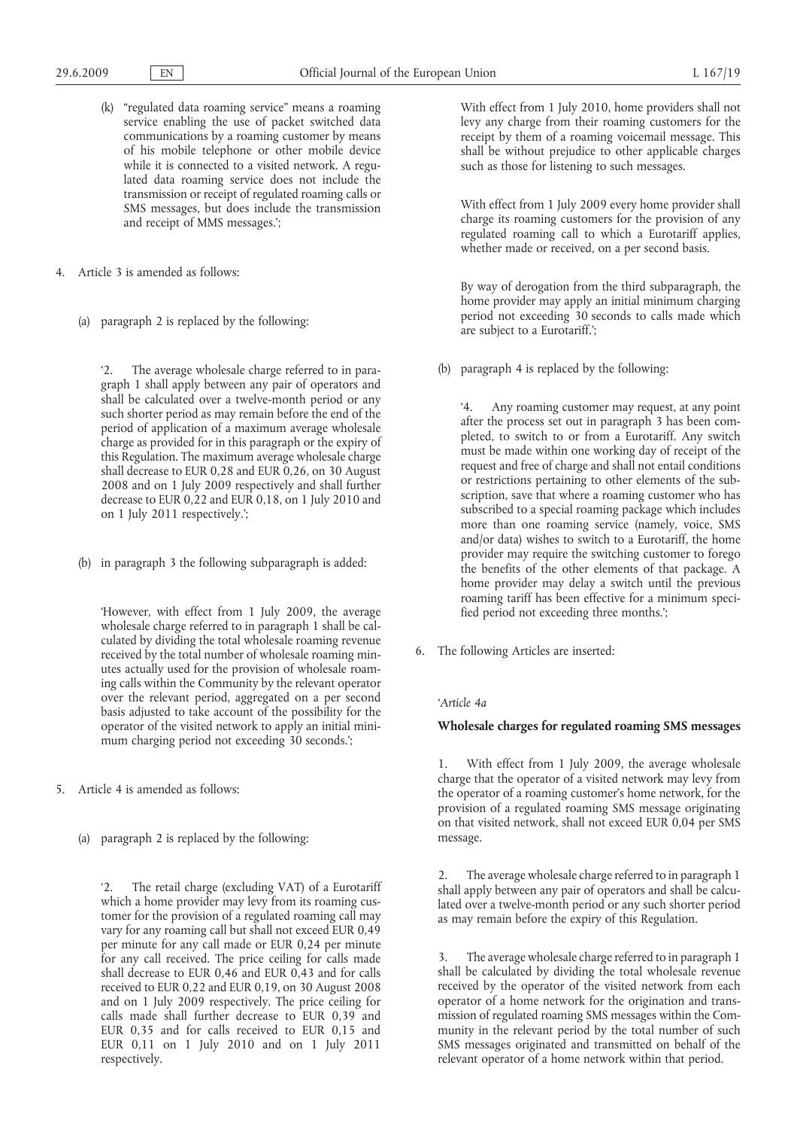- (k) "regulated data roaming service" means a roaming service enabling the use of packet switched data communications by a roaming customer by means of his mobile telephone or other mobile device while it is connected to a visited network. A regulated data roaming service does not include the transmission or receipt of regulated roaming calls or SMS messages, but does include the transmission and receipt of MMS messages.';
- 4. Article 3 is amended as follows:
	- (a) paragraph 2 is replaced by the following:

'2. The average wholesale charge referred to in paragraph 1 shall apply between any pair of operators and shall be calculated over a twelve-month period or any such shorter period as may remain before the end of the period of application of a maximum average wholesale charge as provided for in this paragraph or the expiry of this Regulation. The maximum average wholesale charge shall decrease to EUR 0,28 and EUR 0,26, on 30 August 2008 and on 1 July 2009 respectively and shall further decrease to EUR 0,22 and EUR 0,18, on 1 July 2010 and on 1 July 2011 respectively.';

(b) in paragraph 3 the following subparagraph is added:

'However, with effect from 1 July 2009, the average wholesale charge referred to in paragraph 1 shall be calculated by dividing the total wholesale roaming revenue received by the total number of wholesale roaming minutes actually used for the provision of wholesale roaming calls within the Community by the relevant operator over the relevant period, aggregated on a per second basis adjusted to take account of the possibility for the operator of the visited network to apply an initial minimum charging period not exceeding 30 seconds.';

- 5. Article 4 is amended as follows:
	- (a) paragraph 2 is replaced by the following:

The retail charge (excluding VAT) of a Eurotariff which a home provider may levy from its roaming customer for the provision of a regulated roaming call may vary for any roaming call but shall not exceed EUR 0,49 per minute for any call made or EUR 0,24 per minute for any call received. The price ceiling for calls made shall decrease to EUR 0,46 and EUR 0,43 and for calls received to EUR 0,22 and EUR 0,19, on 30 August 2008 and on 1 July 2009 respectively. The price ceiling for calls made shall further decrease to EUR 0,39 and EUR 0,35 and for calls received to EUR 0,15 and EUR 0,11 on 1 July 2010 and on 1 July 2011 respectively.

With effect from 1 July 2010, home providers shall not levy any charge from their roaming customers for the receipt by them of a roaming voicemail message. This shall be without prejudice to other applicable charges such as those for listening to such messages.

With effect from 1 July 2009 every home provider shall charge its roaming customers for the provision of any regulated roaming call to which a Eurotariff applies, whether made or received, on a per second basis.

By way of derogation from the third subparagraph, the home provider may apply an initial minimum charging period not exceeding 30 seconds to calls made which are subject to a Eurotariff.';

(b) paragraph 4 is replaced by the following:

'4. Any roaming customer may request, at any point after the process set out in paragraph 3 has been completed, to switch to or from a Eurotariff. Any switch must be made within one working day of receipt of the request and free of charge and shall not entail conditions or restrictions pertaining to other elements of the subscription, save that where a roaming customer who has subscribed to a special roaming package which includes more than one roaming service (namely, voice, SMS and/or data) wishes to switch to a Eurotariff, the home provider may require the switching customer to forego the benefits of the other elements of that package. A home provider may delay a switch until the previous roaming tariff has been effective for a minimum specified period not exceeding three months.';

6. The following Articles are inserted:

### *'Article 4a*

## **Wholesale charges for regulated roaming SMS messages**

1. With effect from 1 July 2009, the average wholesale charge that the operator of a visited network may levy from the operator of a roaming customer's home network, for the provision of a regulated roaming SMS message originating on that visited network, shall not exceed EUR 0,04 per SMS message.

2. The average wholesale charge referred to in paragraph 1 shall apply between any pair of operators and shall be calculated over a twelve-month period or any such shorter period as may remain before the expiry of this Regulation.

3. The average wholesale charge referred to in paragraph 1 shall be calculated by dividing the total wholesale revenue received by the operator of the visited network from each operator of a home network for the origination and transmission of regulated roaming SMS messages within the Community in the relevant period by the total number of such SMS messages originated and transmitted on behalf of the relevant operator of a home network within that period.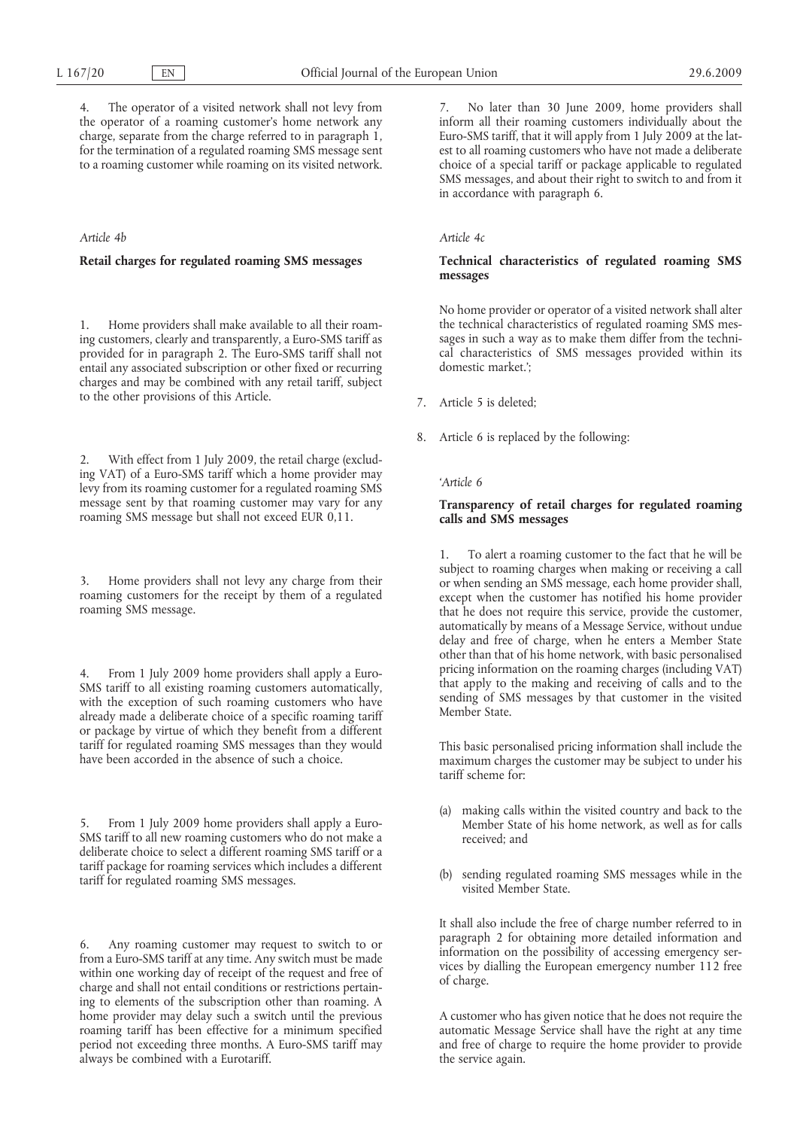4. The operator of a visited network shall not levy from the operator of a roaming customer's home network any charge, separate from the charge referred to in paragraph 1, for the termination of a regulated roaming SMS message sent to a roaming customer while roaming on its visited network.

### *Article 4b*

## **Retail charges for regulated roaming SMS messages**

1. Home providers shall make available to all their roaming customers, clearly and transparently, a Euro-SMS tariff as provided for in paragraph 2. The Euro-SMS tariff shall not entail any associated subscription or other fixed or recurring charges and may be combined with any retail tariff, subject to the other provisions of this Article.

2. With effect from 1 July 2009, the retail charge (excluding VAT) of a Euro-SMS tariff which a home provider may levy from its roaming customer for a regulated roaming SMS message sent by that roaming customer may vary for any roaming SMS message but shall not exceed EUR 0,11.

3. Home providers shall not levy any charge from their roaming customers for the receipt by them of a regulated roaming SMS message.

4. From 1 July 2009 home providers shall apply a Euro-SMS tariff to all existing roaming customers automatically, with the exception of such roaming customers who have already made a deliberate choice of a specific roaming tariff or package by virtue of which they benefit from a different tariff for regulated roaming SMS messages than they would have been accorded in the absence of such a choice.

5. From 1 July 2009 home providers shall apply a Euro-SMS tariff to all new roaming customers who do not make a deliberate choice to select a different roaming SMS tariff or a tariff package for roaming services which includes a different tariff for regulated roaming SMS messages.

6. Any roaming customer may request to switch to or from a Euro-SMS tariff at any time. Any switch must be made within one working day of receipt of the request and free of charge and shall not entail conditions or restrictions pertaining to elements of the subscription other than roaming. A home provider may delay such a switch until the previous roaming tariff has been effective for a minimum specified period not exceeding three months. A Euro-SMS tariff may always be combined with a Eurotariff.

7. No later than 30 June 2009, home providers shall inform all their roaming customers individually about the Euro-SMS tariff, that it will apply from 1 July 2009 at the latest to all roaming customers who have not made a deliberate choice of a special tariff or package applicable to regulated SMS messages, and about their right to switch to and from it in accordance with paragraph 6.

### *Article 4c*

## **Technical characteristics of regulated roaming SMS messages**

No home provider or operator of a visited network shall alter the technical characteristics of regulated roaming SMS messages in such a way as to make them differ from the technical characteristics of SMS messages provided within its domestic market.';

- 7. Article 5 is deleted;
- 8. Article 6 is replaced by the following:

#### *'Article 6*

## **Transparency of retail charges for regulated roaming calls and SMS messages**

1. To alert a roaming customer to the fact that he will be subject to roaming charges when making or receiving a call or when sending an SMS message, each home provider shall, except when the customer has notified his home provider that he does not require this service, provide the customer, automatically by means of a Message Service, without undue delay and free of charge, when he enters a Member State other than that of his home network, with basic personalised pricing information on the roaming charges (including VAT) that apply to the making and receiving of calls and to the sending of SMS messages by that customer in the visited Member State.

This basic personalised pricing information shall include the maximum charges the customer may be subject to under his tariff scheme for:

- (a) making calls within the visited country and back to the Member State of his home network, as well as for calls received; and
- (b) sending regulated roaming SMS messages while in the visited Member State.

It shall also include the free of charge number referred to in paragraph 2 for obtaining more detailed information and information on the possibility of accessing emergency services by dialling the European emergency number 112 free of charge.

A customer who has given notice that he does not require the automatic Message Service shall have the right at any time and free of charge to require the home provider to provide the service again.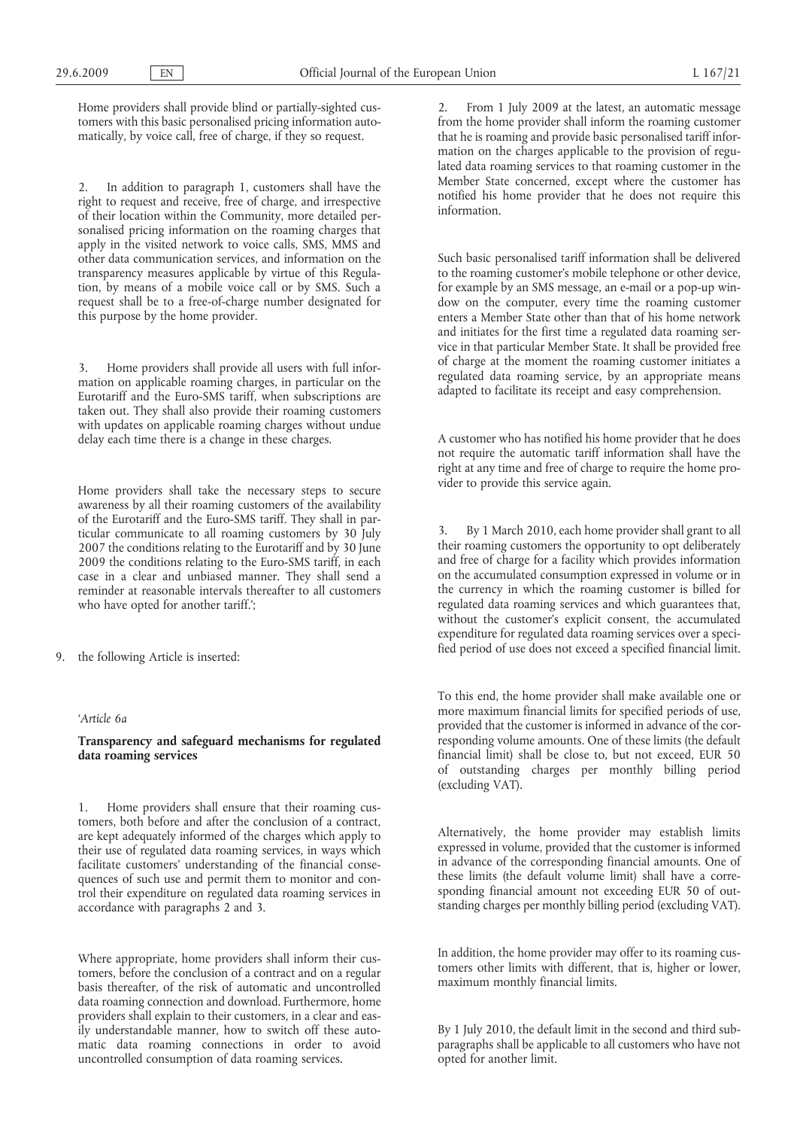Home providers shall provide blind or partially-sighted customers with this basic personalised pricing information automatically, by voice call, free of charge, if they so request.

In addition to paragraph 1, customers shall have the right to request and receive, free of charge, and irrespective of their location within the Community, more detailed personalised pricing information on the roaming charges that apply in the visited network to voice calls, SMS, MMS and other data communication services, and information on the transparency measures applicable by virtue of this Regulation, by means of a mobile voice call or by SMS. Such a request shall be to a free-of-charge number designated for this purpose by the home provider.

Home providers shall provide all users with full information on applicable roaming charges, in particular on the Eurotariff and the Euro-SMS tariff, when subscriptions are taken out. They shall also provide their roaming customers with updates on applicable roaming charges without undue delay each time there is a change in these charges.

Home providers shall take the necessary steps to secure awareness by all their roaming customers of the availability of the Eurotariff and the Euro-SMS tariff. They shall in particular communicate to all roaming customers by 30 July 2007 the conditions relating to the Eurotariff and by 30 June 2009 the conditions relating to the Euro-SMS tariff, in each case in a clear and unbiased manner. They shall send a reminder at reasonable intervals thereafter to all customers who have opted for another tariff.';

9. the following Article is inserted:

#### *'Article 6a*

**Transparency and safeguard mechanisms for regulated data roaming services**

1. Home providers shall ensure that their roaming customers, both before and after the conclusion of a contract, are kept adequately informed of the charges which apply to their use of regulated data roaming services, in ways which facilitate customers' understanding of the financial consequences of such use and permit them to monitor and control their expenditure on regulated data roaming services in accordance with paragraphs 2 and 3.

Where appropriate, home providers shall inform their customers, before the conclusion of a contract and on a regular basis thereafter, of the risk of automatic and uncontrolled data roaming connection and download. Furthermore, home providers shall explain to their customers, in a clear and easily understandable manner, how to switch off these automatic data roaming connections in order to avoid uncontrolled consumption of data roaming services.

2. From 1 July 2009 at the latest, an automatic message from the home provider shall inform the roaming customer that he is roaming and provide basic personalised tariff information on the charges applicable to the provision of regulated data roaming services to that roaming customer in the Member State concerned, except where the customer has notified his home provider that he does not require this information.

Such basic personalised tariff information shall be delivered to the roaming customer's mobile telephone or other device, for example by an SMS message, an e-mail or a pop-up window on the computer, every time the roaming customer enters a Member State other than that of his home network and initiates for the first time a regulated data roaming service in that particular Member State. It shall be provided free of charge at the moment the roaming customer initiates a regulated data roaming service, by an appropriate means adapted to facilitate its receipt and easy comprehension.

A customer who has notified his home provider that he does not require the automatic tariff information shall have the right at any time and free of charge to require the home provider to provide this service again.

3. By 1 March 2010, each home provider shall grant to all their roaming customers the opportunity to opt deliberately and free of charge for a facility which provides information on the accumulated consumption expressed in volume or in the currency in which the roaming customer is billed for regulated data roaming services and which guarantees that, without the customer's explicit consent, the accumulated expenditure for regulated data roaming services over a specified period of use does not exceed a specified financial limit.

To this end, the home provider shall make available one or more maximum financial limits for specified periods of use, provided that the customer is informed in advance of the corresponding volume amounts. One of these limits (the default financial limit) shall be close to, but not exceed, EUR 50 of outstanding charges per monthly billing period (excluding VAT).

Alternatively, the home provider may establish limits expressed in volume, provided that the customer is informed in advance of the corresponding financial amounts. One of these limits (the default volume limit) shall have a corresponding financial amount not exceeding EUR 50 of outstanding charges per monthly billing period (excluding VAT).

In addition, the home provider may offer to its roaming customers other limits with different, that is, higher or lower, maximum monthly financial limits.

By 1 July 2010, the default limit in the second and third subparagraphs shall be applicable to all customers who have not opted for another limit.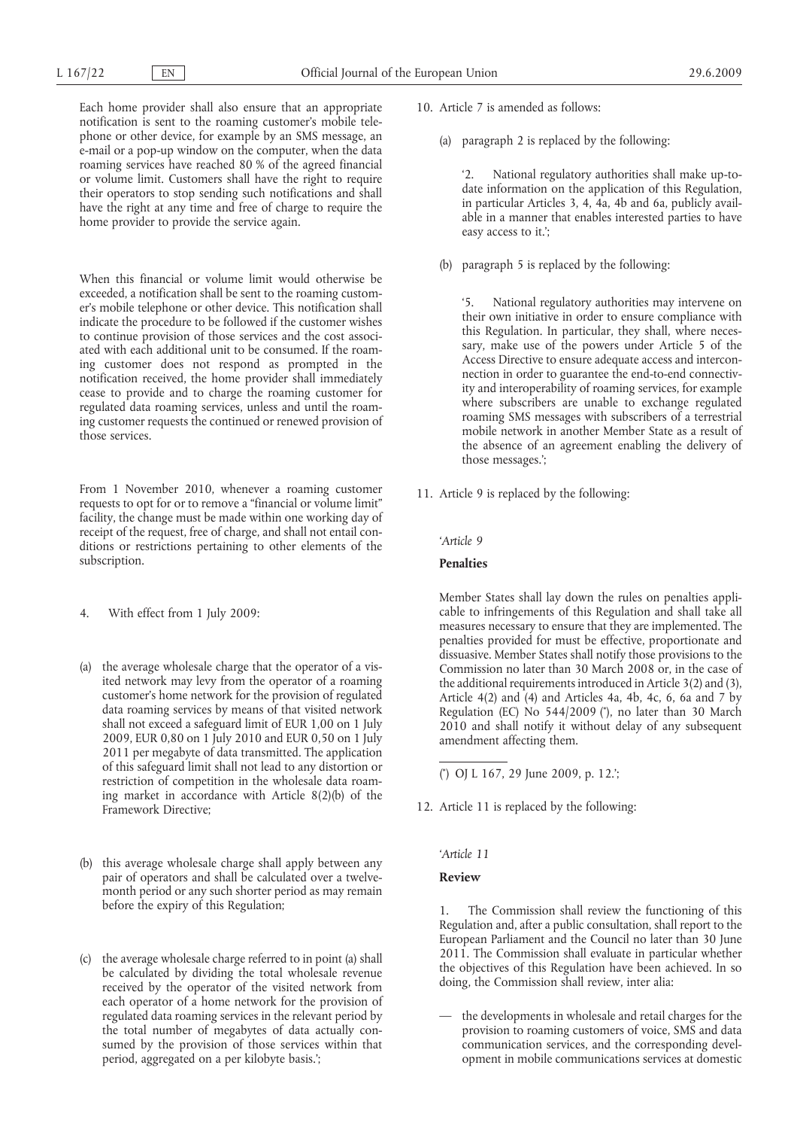Each home provider shall also ensure that an appropriate notification is sent to the roaming customer's mobile telephone or other device, for example by an SMS message, an e-mail or a pop-up window on the computer, when the data roaming services have reached 80 % of the agreed financial or volume limit. Customers shall have the right to require their operators to stop sending such notifications and shall have the right at any time and free of charge to require the home provider to provide the service again.

When this financial or volume limit would otherwise be exceeded, a notification shall be sent to the roaming customer's mobile telephone or other device. This notification shall indicate the procedure to be followed if the customer wishes to continue provision of those services and the cost associated with each additional unit to be consumed. If the roaming customer does not respond as prompted in the notification received, the home provider shall immediately cease to provide and to charge the roaming customer for regulated data roaming services, unless and until the roaming customer requests the continued or renewed provision of those services.

From 1 November 2010, whenever a roaming customer requests to opt for or to remove a "financial or volume limit" facility, the change must be made within one working day of receipt of the request, free of charge, and shall not entail conditions or restrictions pertaining to other elements of the subscription.

- 4. With effect from 1 July 2009:
- (a) the average wholesale charge that the operator of a visited network may levy from the operator of a roaming customer's home network for the provision of regulated data roaming services by means of that visited network shall not exceed a safeguard limit of EUR 1,00 on 1 July 2009, EUR 0,80 on 1 July 2010 and EUR 0,50 on 1 July 2011 per megabyte of data transmitted. The application of this safeguard limit shall not lead to any distortion or restriction of competition in the wholesale data roaming market in accordance with Article 8(2)(b) of the Framework Directive;
- (b) this average wholesale charge shall apply between any pair of operators and shall be calculated over a twelvemonth period or any such shorter period as may remain before the expiry of this Regulation;
- (c) the average wholesale charge referred to in point (a) shall be calculated by dividing the total wholesale revenue received by the operator of the visited network from each operator of a home network for the provision of regulated data roaming services in the relevant period by the total number of megabytes of data actually consumed by the provision of those services within that period, aggregated on a per kilobyte basis.';
- 10. Article 7 is amended as follows:
	- (a) paragraph 2 is replaced by the following:

'2. National regulatory authorities shall make up-todate information on the application of this Regulation, in particular Articles 3, 4, 4a, 4b and 6a, publicly available in a manner that enables interested parties to have easy access to it.';

(b) paragraph 5 is replaced by the following:

'5. National regulatory authorities may intervene on their own initiative in order to ensure compliance with this Regulation. In particular, they shall, where necessary, make use of the powers under Article 5 of the Access Directive to ensure adequate access and interconnection in order to guarantee the end-to-end connectivity and interoperability of roaming services, for example where subscribers are unable to exchange regulated roaming SMS messages with subscribers of a terrestrial mobile network in another Member State as a result of the absence of an agreement enabling the delivery of those messages.';

11. Article 9 is replaced by the following:

*'Article 9*

**Penalties**

Regulation (EC) No 544/2009 (\*), no later than 30 March Member States shall lay down the rules on penalties applicable to infringements of this Regulation and shall take all measures necessary to ensure that they are implemented. The penalties provided for must be effective, proportionate and dissuasive. Member States shall notify those provisions to the Commission no later than 30 March 2008 or, in the case of the additional requirements introduced in Article 3(2) and (3), Article  $4(2)$  and  $(4)$  and Articles  $4a$ ,  $4b$ ,  $4c$ ,  $6$ ,  $6a$  and  $7$  by 2010 and shall notify it without delay of any subsequent amendment affecting them.

12. Article 11 is replaced by the following:

*'Article 11*

**Review**

1. The Commission shall review the functioning of this Regulation and, after a public consultation, shall report to the European Parliament and the Council no later than 30 June 2011. The Commission shall evaluate in particular whether the objectives of this Regulation have been achieved. In so doing, the Commission shall review, inter alia:

— the developments in wholesale and retail charges for the provision to roaming customers of voice, SMS and data communication services, and the corresponding development in mobile communications services at domestic

<sup>(</sup> \* ) OJ L 167, 29 June 2009, p. 12.';